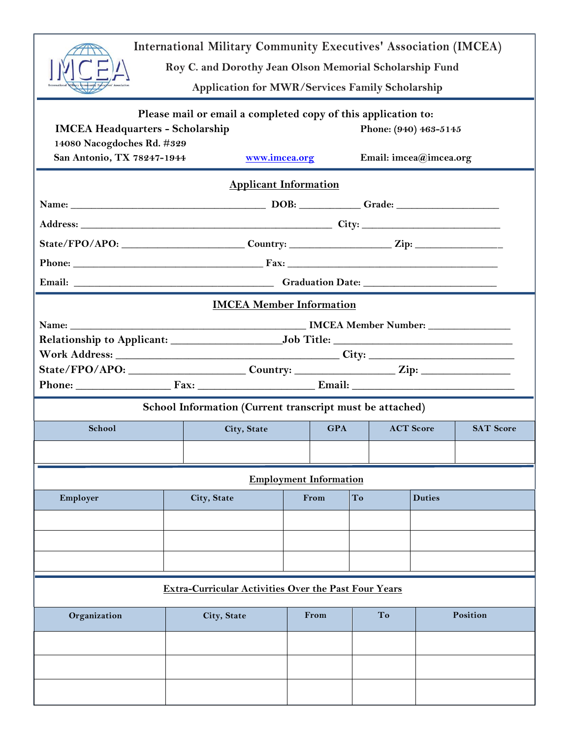| <b>International Military Community Executives' Association (IMCEA)</b><br>Roy C. and Dorothy Jean Olson Memorial Scholarship Fund<br><b>Application for MWR/Services Family Scholarship</b>                                             |                                                                                                      |             |      |                               |    |  |                  |  |  |  |
|------------------------------------------------------------------------------------------------------------------------------------------------------------------------------------------------------------------------------------------|------------------------------------------------------------------------------------------------------|-------------|------|-------------------------------|----|--|------------------|--|--|--|
| Please mail or email a completed copy of this application to:<br><b>IMCEA Headquarters - Scholarship</b><br>Phone: (940) 463-5145<br>14080 Nacogdoches Rd. #329<br>San Antonio, TX 78247-1944<br>www.imcea.org<br>Email: imcea@imcea.org |                                                                                                      |             |      |                               |    |  |                  |  |  |  |
| <b>Applicant Information</b>                                                                                                                                                                                                             |                                                                                                      |             |      |                               |    |  |                  |  |  |  |
|                                                                                                                                                                                                                                          |                                                                                                      |             |      |                               |    |  |                  |  |  |  |
|                                                                                                                                                                                                                                          |                                                                                                      |             |      |                               |    |  |                  |  |  |  |
|                                                                                                                                                                                                                                          | State/FPO/APO: ____________________________Country: ______________________Zip: _____________________ |             |      |                               |    |  |                  |  |  |  |
|                                                                                                                                                                                                                                          |                                                                                                      |             |      |                               |    |  |                  |  |  |  |
|                                                                                                                                                                                                                                          |                                                                                                      |             |      |                               |    |  |                  |  |  |  |
| <b>IMCEA Member Information</b>                                                                                                                                                                                                          |                                                                                                      |             |      |                               |    |  |                  |  |  |  |
|                                                                                                                                                                                                                                          |                                                                                                      |             |      |                               |    |  |                  |  |  |  |
| Phone: Fax: Fax: Email: Email:                                                                                                                                                                                                           |                                                                                                      |             |      |                               |    |  |                  |  |  |  |
| School Information (Current transcript must be attached)                                                                                                                                                                                 |                                                                                                      |             |      |                               |    |  |                  |  |  |  |
| <b>ACT Score</b><br>School<br><b>GPA</b><br>City, State                                                                                                                                                                                  |                                                                                                      |             |      |                               |    |  | <b>SAT Score</b> |  |  |  |
|                                                                                                                                                                                                                                          |                                                                                                      |             |      |                               |    |  |                  |  |  |  |
|                                                                                                                                                                                                                                          |                                                                                                      |             |      | <b>Employment Information</b> |    |  |                  |  |  |  |
| Employer                                                                                                                                                                                                                                 |                                                                                                      | City, State |      | From                          | To |  | <b>Duties</b>    |  |  |  |
|                                                                                                                                                                                                                                          |                                                                                                      |             |      |                               |    |  |                  |  |  |  |
|                                                                                                                                                                                                                                          |                                                                                                      |             |      |                               |    |  |                  |  |  |  |
|                                                                                                                                                                                                                                          |                                                                                                      |             |      |                               |    |  |                  |  |  |  |
| <b>Extra-Curricular Activities Over the Past Four Years</b>                                                                                                                                                                              |                                                                                                      |             |      |                               |    |  |                  |  |  |  |
| Organization                                                                                                                                                                                                                             |                                                                                                      | City, State | From |                               | To |  | Position         |  |  |  |
|                                                                                                                                                                                                                                          |                                                                                                      |             |      |                               |    |  |                  |  |  |  |
|                                                                                                                                                                                                                                          |                                                                                                      |             |      |                               |    |  |                  |  |  |  |
|                                                                                                                                                                                                                                          |                                                                                                      |             |      |                               |    |  |                  |  |  |  |